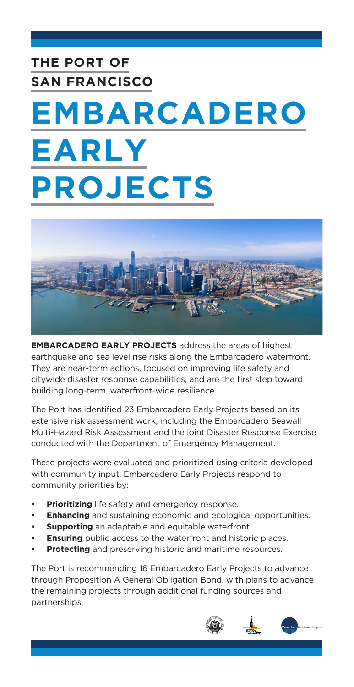# **THE PORT OF SAN FRANCISCO EMBARCADERO EARLY**

# **PROJECTS**



**EMBARCADERO EARLY PROJECTS** address the areas of highest earthquake and sea level rise risks along the Embarcadero waterfront. They are near-term actions, focused on improving life safety and citywide disaster response capabilities, and are the first step toward building long-term, waterfront-wide resilience.

The Port has identified 23 Embarcadero Early Projects based on its extensive risk assessment work, including the Embarcadero Seawall Multi-Hazard Risk Assessment and the joint Disaster Response Exercise conducted with the Department of Emergency Management.

These projects were evaluated and prioritized using criteria developed with community input. Embarcadero Early Projects respond to community priorities by:

- **• Prioritizing** life safety and emergency response.
- **• Enhancing** and sustaining economic and ecological opportunities.
- **• Supporting** an adaptable and equitable waterfront.
- **Ensuring** public access to the waterfront and historic places.
- **Protecting** and preserving historic and maritime resources.

The Port is recommending 16 Embarcadero Early Projects to advance through Proposition A General Obligation Bond, with plans to advance the remaining projects through additional funding sources and partnerships.

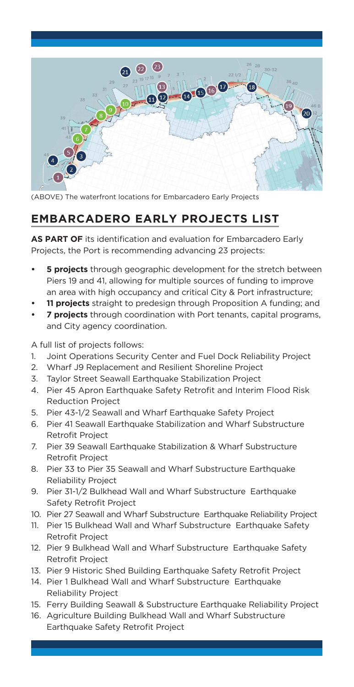

(ABOVE) The waterfront locations for Embarcadero Early Projects

#### **EMBARCADERO EARLY PROJECTS LIST**

**AS PART OF** its identification and evaluation for Embarcadero Early Projects, the Port is recommending advancing 23 projects:

- **• 5 projects** through geographic development for the stretch between Piers 19 and 41, allowing for multiple sources of funding to improve an area with high occupancy and critical City & Port infrastructure;
- **• 11 projects** straight to predesign through Proposition A funding; and
- **• 7 projects** through coordination with Port tenants, capital programs, and City agency coordination.

A full list of projects follows:

- 1. Joint Operations Security Center and Fuel Dock Reliability Project
- 2. Wharf J9 Replacement and Resilient Shoreline Project
- 3. Taylor Street Seawall Earthquake Stabilization Project
- 4. Pier 45 Apron Earthquake Safety Retrofit and Interim Flood Risk Reduction Project
- 5. Pier 43-1/2 Seawall and Wharf Earthquake Safety Project
- 6. Pier 41 Seawall Earthquake Stabilization and Wharf Substructure Retrofit Project
- 7. Pier 39 Seawall Earthquake Stabilization & Wharf Substructure Retrofit Project
- 8. Pier 33 to Pier 35 Seawall and Wharf Substructure Earthquake Reliability Project
- 9. Pier 31-1/2 Bulkhead Wall and Wharf Substructure Earthquake Safety Retrofit Project
- 10. Pier 27 Seawall and Wharf Substructure Earthquake Reliability Project
- 11. Pier 15 Bulkhead Wall and Wharf Substructure Earthquake Safety Retrofit Project
- 12. Pier 9 Bulkhead Wall and Wharf Substructure Earthquake Safety Retrofit Project
- 13. Pier 9 Historic Shed Building Earthquake Safety Retrofit Project
- 14. Pier 1 Bulkhead Wall and Wharf Substructure Earthquake Reliability Project
- 15. Ferry Building Seawall & Substructure Earthquake Reliability Project
- 16. Agriculture Building Bulkhead Wall and Wharf Substructure Earthquake Safety Retrofit Project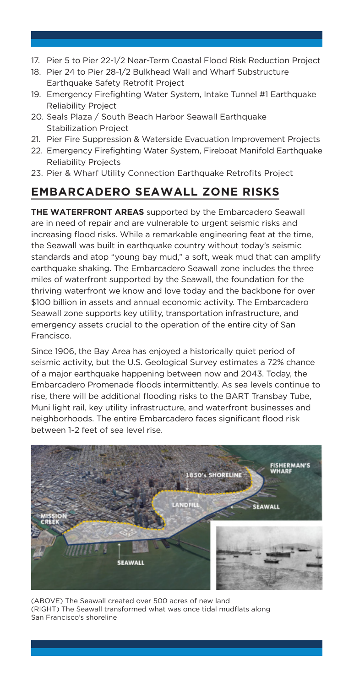- 17. Pier 5 to Pier 22-1/2 Near-Term Coastal Flood Risk Reduction Project
- 18. Pier 24 to Pier 28-1/2 Bulkhead Wall and Wharf Substructure Earthquake Safety Retrofit Project
- 19. Emergency Firefighting Water System, Intake Tunnel #1 Earthquake Reliability Project
- 20. Seals Plaza / South Beach Harbor Seawall Earthquake Stabilization Project
- 21. Pier Fire Suppression & Waterside Evacuation Improvement Projects
- 22. Emergency Firefighting Water System, Fireboat Manifold Earthquake Reliability Projects
- 23. Pier & Wharf Utility Connection Earthquake Retrofits Project

# **EMBARCADERO SEAWALL ZONE RISKS**

**THE WATERFRONT AREAS** supported by the Embarcadero Seawall are in need of repair and are vulnerable to urgent seismic risks and increasing flood risks. While a remarkable engineering feat at the time, the Seawall was built in earthquake country without today's seismic standards and atop "young bay mud," a soft, weak mud that can amplify earthquake shaking. The Embarcadero Seawall zone includes the three miles of waterfront supported by the Seawall, the foundation for the thriving waterfront we know and love today and the backbone for over \$100 billion in assets and annual economic activity. The Embarcadero Seawall zone supports key utility, transportation infrastructure, and emergency assets crucial to the operation of the entire city of San Francisco.

Since 1906, the Bay Area has enjoyed a historically quiet period of seismic activity, but the U.S. Geological Survey estimates a 72% chance of a major earthquake happening between now and 2043. Today, the Embarcadero Promenade floods intermittently. As sea levels continue to rise, there will be additional flooding risks to the BART Transbay Tube, Muni light rail, key utility infrastructure, and waterfront businesses and neighborhoods. The entire Embarcadero faces significant flood risk between 1-2 feet of sea level rise.



(ABOVE) The Seawall created over 500 acres of new land (RIGHT) The Seawall transformed what was once tidal mudflats along San Francisco's shoreline